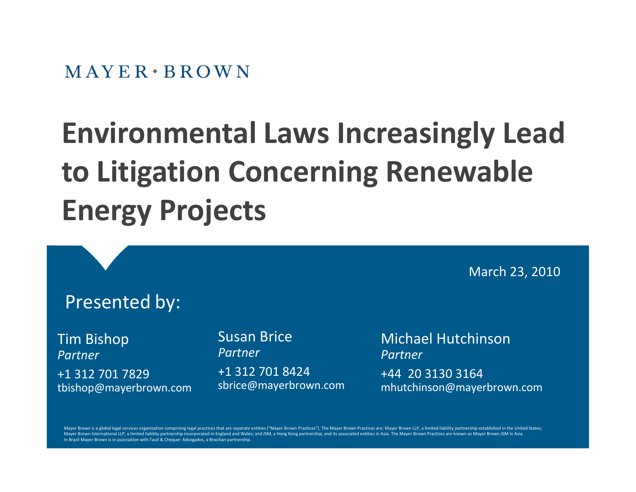# **Environmental Laws Increasingly Lead to Litigation Concerning Renewable Energy Projects**

Presented by: Tim Bishop *Partner* +1 312 701 7829 tbishop@mayerbrown.com March 23, 2010 Susan Brice *Partner* +1 312 701 8424 sbrice@mayerbrown.com Michael Hutchinson *Partner* +44 20 3130 3164 mhutchinson@mayerbrown.com

Mayer Brown is a global legal services organization comprising legal practices that are separate entities ("Mayer Brown Practices"). The Mayer Brown Practices are: Mayer Brown LLP, a limited liability partnership establish Mayer Brown International LLP, a limited liability partnership incorporated in England and Wales; and JSM, a Hong Kong partnership, and its associated entities in Asia. The Mayer Brown Practices are known as Mayer Brown JS In Brazil Mayer Brown is in association with Tauil & Chequer Advogados, a Brazilian partnership.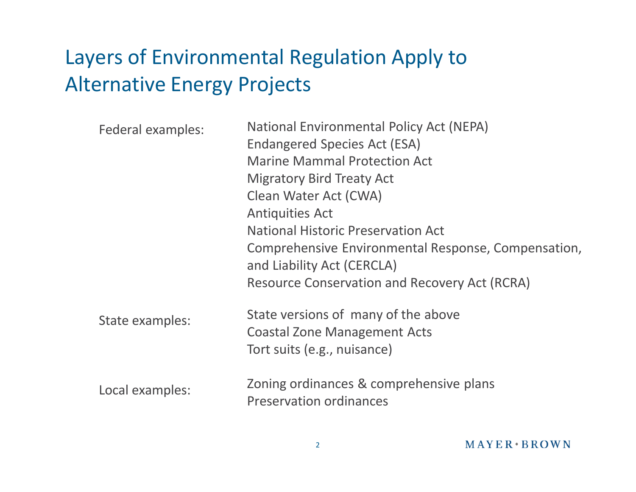### Layers of Environmental Regulation Apply to Alternative Energy Projects

| Federal examples: | National Environmental Policy Act (NEPA)                                  |
|-------------------|---------------------------------------------------------------------------|
|                   | Endangered Species Act (ESA)                                              |
|                   | <b>Marine Mammal Protection Act</b>                                       |
|                   | <b>Migratory Bird Treaty Act</b>                                          |
|                   | Clean Water Act (CWA)                                                     |
|                   | <b>Antiquities Act</b>                                                    |
|                   | <b>National Historic Preservation Act</b>                                 |
|                   | Comprehensive Environmental Response, Compensation,                       |
|                   | and Liability Act (CERCLA)                                                |
|                   | <b>Resource Conservation and Recovery Act (RCRA)</b>                      |
| State examples:   | State versions of many of the above                                       |
|                   | <b>Coastal Zone Management Acts</b>                                       |
|                   | Tort suits (e.g., nuisance)                                               |
|                   |                                                                           |
| Local examples:   | Zoning ordinances & comprehensive plans<br><b>Preservation ordinances</b> |
|                   |                                                                           |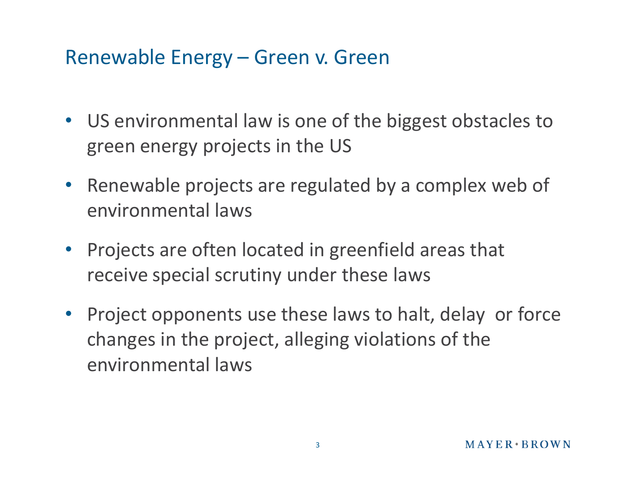### Renewable Energy – Green v. Green

- US environmental law is one of the biggest obstacles to green energy projects in the US
- Renewable projects are regulated by a complex web of environmental laws
- Projects are often located in greenfield areas that receive special scrutiny under these laws
- Project opponents use these laws to halt, delay or force changes in the project, alleging violations of the environmental laws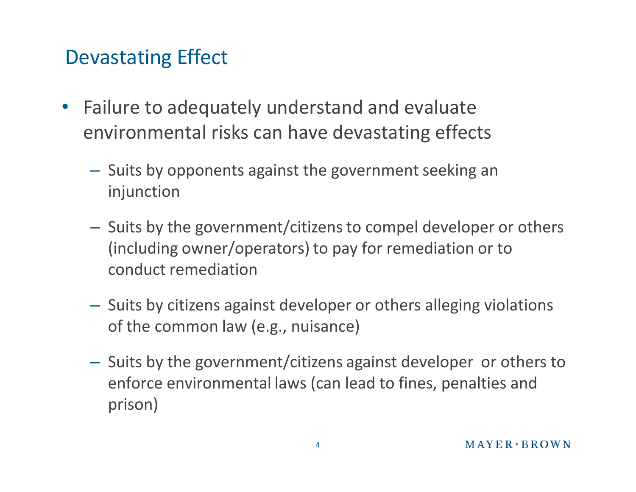### Devastating Effect

- Failure to adequately understand and evaluate environmental risks can have devastating effects
	- Suits by opponents against the government seeking an injunction
	- Suits by the government/citizens to compel developer or others (including owner/operators) to pay for remediation or to conduct remediation
	- Suits by citizens against developer or others alleging violations of the common law (e.g., nuisance)
	- Suits by the government/citizens against developer or others to enforce environmental laws (can lead to fines, penalties and prison)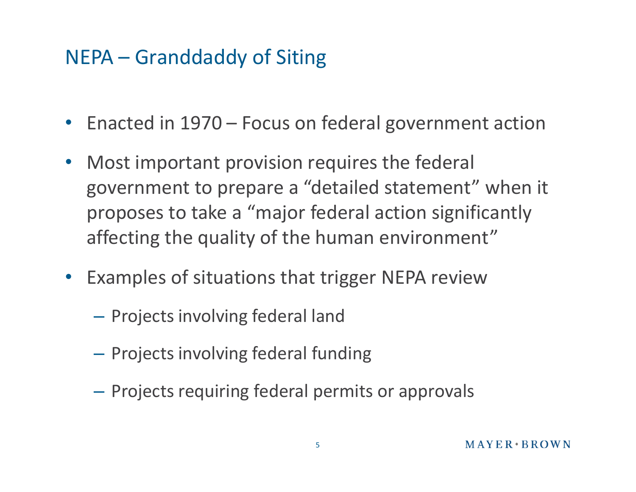### NEPA – Granddaddy of Siting

- Enacted in 1970 Focus on federal government action
- Most important provision requires the federal government to prepare a "detailed statement" when it proposes to take a "major federal action significantly affecting the quality of the human environment"
- Examples of situations that trigger NEPA review
	- Projects involving federal land
	- Projects involving federal funding
	- Projects requiring federal permits or approvals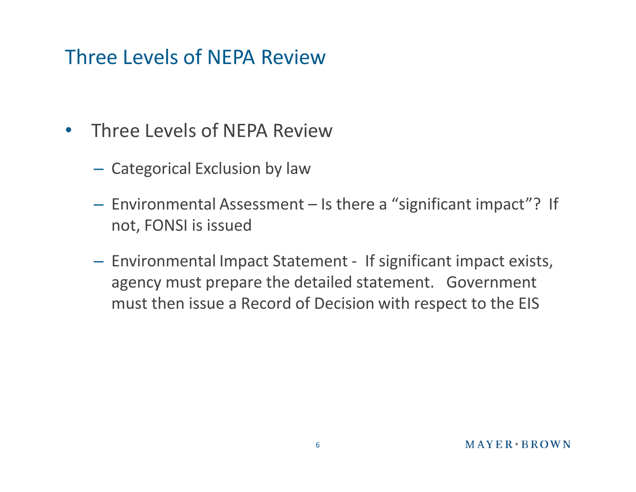### Three Levels of NEPA Review

- Three Levels of NEPA Review
	- Categorical Exclusion by law
	- Environmental Assessment Is there a "significant impact"? If not, FONSI is issued
	- Environmental Impact Statement If significant impact exists, agency must prepare the detailed statement. Government must then issue a Record of Decision with respect to the EIS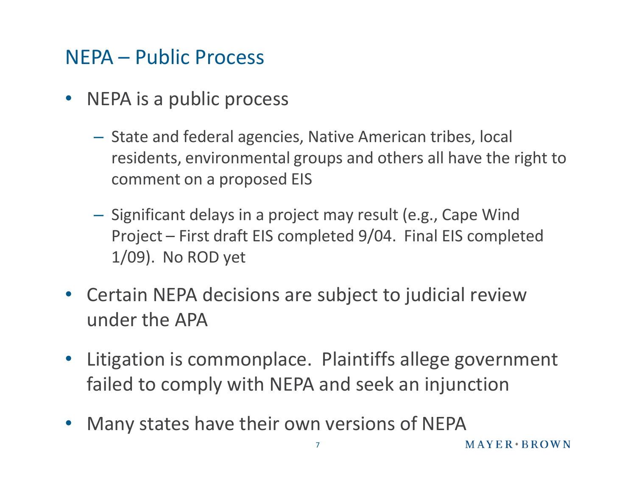### NEPA – Public Process

- NEPA is a public process
	- State and federal agencies, Native American tribes, local residents, environmental groups and others all have the right to comment on a proposed EIS
	- Significant delays in a project may result (e.g., Cape Wind Project – First draft EIS completed 9/04. Final EIS completed 1/09). No ROD yet
- Certain NEPA decisions are subject to judicial review under the APA
- Litigation is commonplace. Plaintiffs allege government failed to comply with NEPA and seek an injunction
- Many states have their own versions of NEPA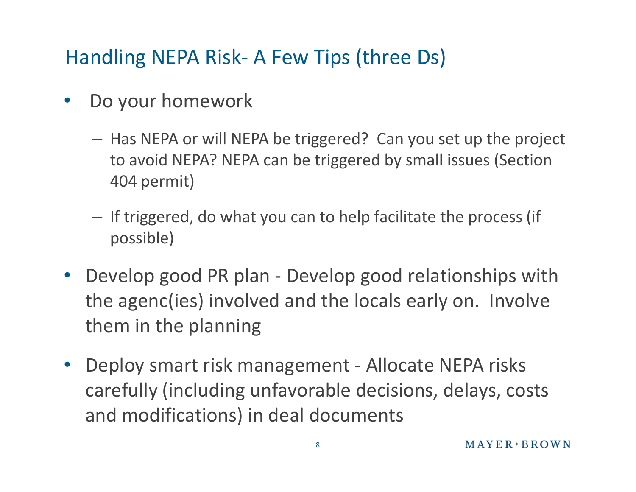### Handling NEPA Risk- A Few Tips (three Ds)

- Do your homework
	- Has NEPA or will NEPA be triggered? Can you set up the project to avoid NEPA? NEPA can be triggered by small issues (Section 404 permit)
	- If triggered, do what you can to help facilitate the process (if possible)
- Develop good PR plan Develop good relationships with the agenc(ies) involved and the locals early on. Involve them in the planning
- Deploy smart risk management Allocate NEPA risks carefully (including unfavorable decisions, delays, costs and modifications) in deal documents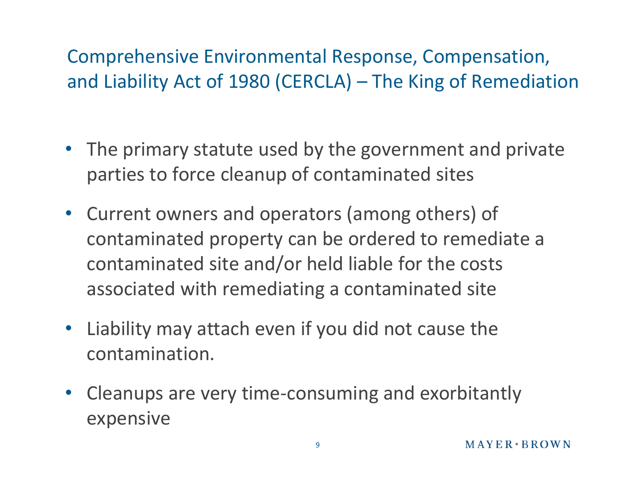### Comprehensive Environmental Response, Compensation, and Liability Act of 1980 (CERCLA) – The King of Remediation

- The primary statute used by the government and private parties to force cleanup of contaminated sites
- Current owners and operators (among others) of contaminated property can be ordered to remediate a contaminated site and/or held liable for the costs associated with remediating a contaminated site
- Liability may attach even if you did not cause the contamination.
- Cleanups are very time-consuming and exorbitantly expensive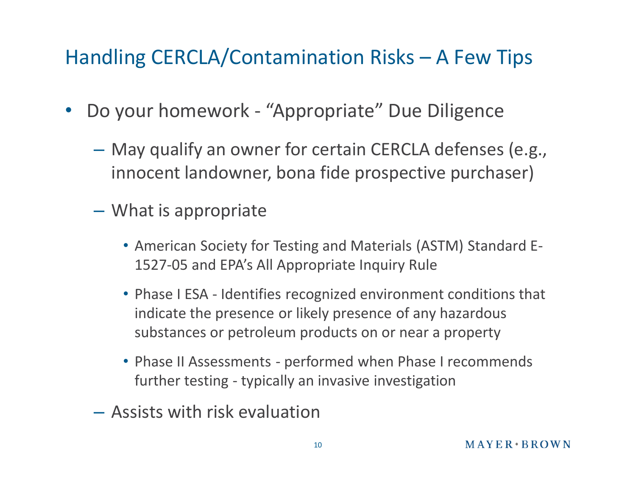### Handling CERCLA/Contamination Risks – A Few Tips

- Do your homework "Appropriate" Due Diligence
	- May qualify an owner for certain CERCLA defenses (e.g., innocent landowner, bona fide prospective purchaser)
	- What is appropriate
		- American Society for Testing and Materials (ASTM) Standard E-1527-05 and EPA's All Appropriate Inquiry Rule
		- Phase I ESA Identifies recognized environment conditions that indicate the presence or likely presence of any hazardous substances or petroleum products on or near a property
		- Phase II Assessments performed when Phase I recommends further testing - typically an invasive investigation
	- Assists with risk evaluation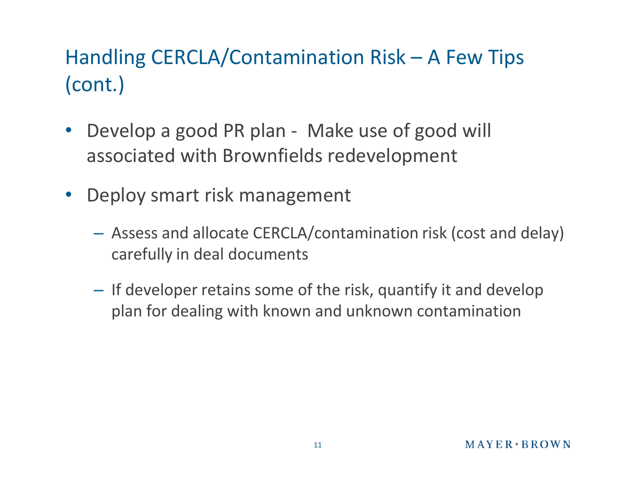### Handling CERCLA/Contamination Risk – A Few Tips (cont.)

- Develop a good PR plan Make use of good will associated with Brownfields redevelopment
- Deploy smart risk management
	- Assess and allocate CERCLA/contamination risk (cost and delay) carefully in deal documents
	- If developer retains some of the risk, quantify it and develop plan for dealing with known and unknown contamination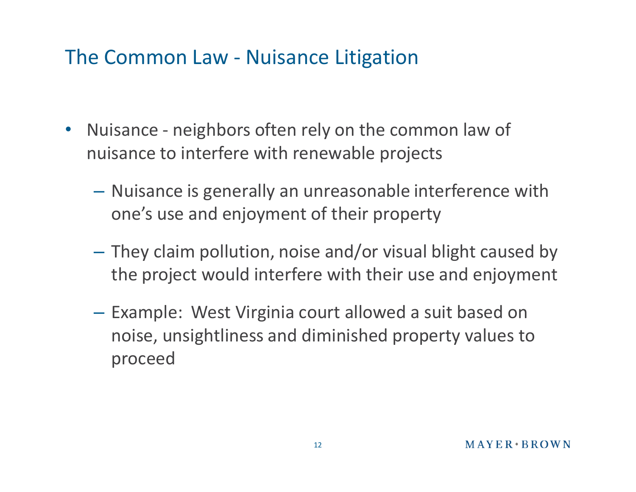### The Common Law - Nuisance Litigation

- Nuisance neighbors often rely on the common law of nuisance to interfere with renewable projects
	- Nuisance is generally an unreasonable interference with one's use and enjoyment of their property
	- They claim pollution, noise and/or visual blight caused by the project would interfere with their use and enjoyment
	- Example: West Virginia court allowed a suit based on noise, unsightliness and diminished property values to proceed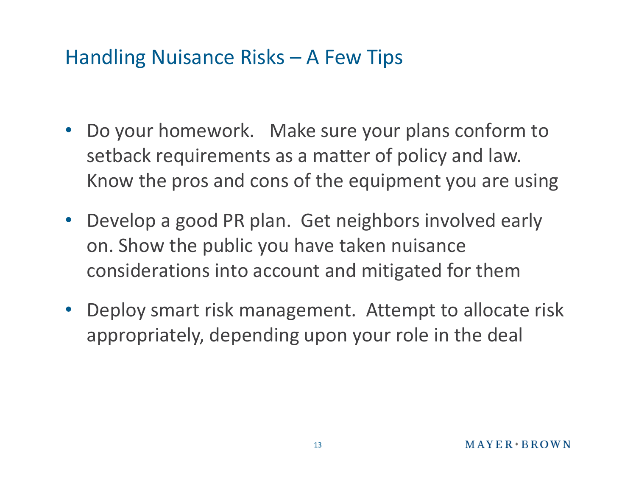### Handling Nuisance Risks – A Few Tips

- Do your homework. Make sure your plans conform to setback requirements as a matter of policy and law. Know the pros and cons of the equipment you are using
- Develop a good PR plan. Get neighbors involved early on. Show the public you have taken nuisance considerations into account and mitigated for them
- Deploy smart risk management. Attempt to allocate risk appropriately, depending upon your role in the deal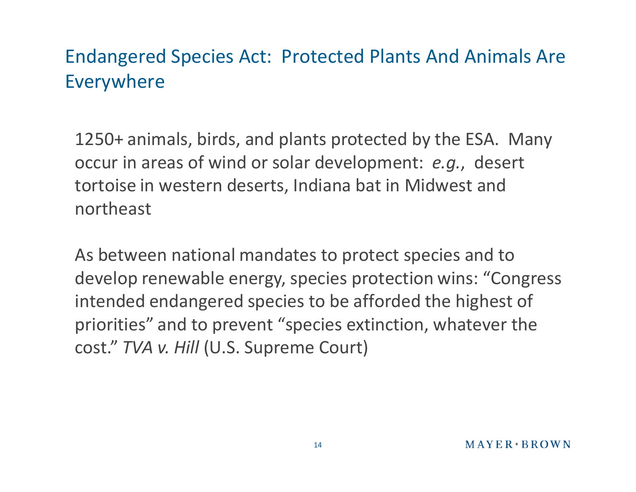### Endangered Species Act: Protected Plants And Animals Are Everywhere

1250+ animals, birds, and plants protected by the ESA. Many occur in areas of wind or solar development: *e.g.*, desert tortoise in western deserts, Indiana bat in Midwest and northeast

As between national mandates to protect species and to develop renewable energy, species protection wins: "Congress intended endangered species to be afforded the highest of priorities" and to prevent "species extinction, whatever the cost." *TVA v. Hill* (U.S. Supreme Court)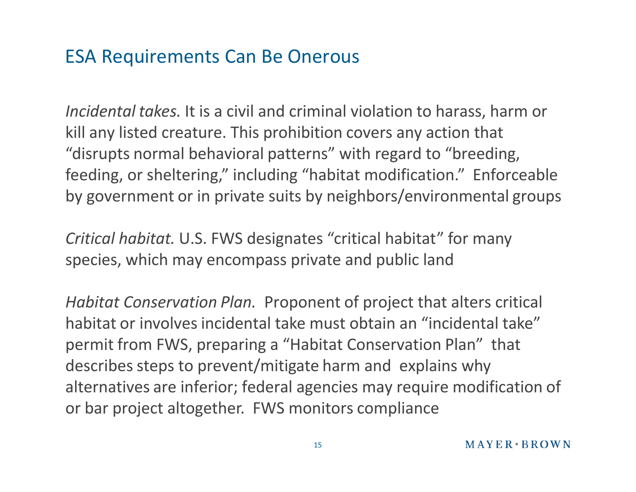### ESA Requirements Can Be Onerous

*Incidental takes.* It is a civil and criminal violation to harass, harm or kill any listed creature. This prohibition covers any action that "disrupts normal behavioral patterns" with regard to "breeding, feeding, or sheltering," including "habitat modification." Enforceable by government or in private suits by neighbors/environmental groups

*Critical habitat.* U.S. FWS designates "critical habitat" for many species, which may encompass private and public land

*Habitat Conservation Plan.* Proponent of project that alters critical habitat or involves incidental take must obtain an "incidental take" permit from FWS, preparing a "Habitat Conservation Plan" that describes steps to prevent/mitigate harm and explains why alternatives are inferior; federal agencies may require modification of or bar project altogether. FWS monitors compliance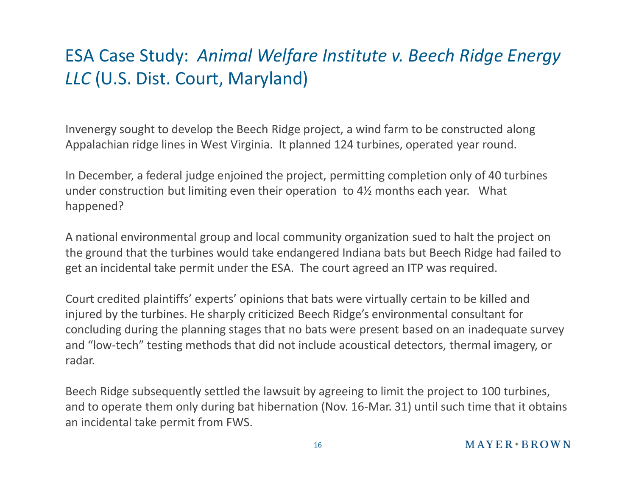### ESA Case Study: *Animal Welfare Institute v. Beech Ridge Energy LLC* (U.S. Dist. Court, Maryland)

Invenergy sought to develop the Beech Ridge project, a wind farm to be constructed along Appalachian ridge lines in West Virginia. It planned 124 turbines, operated year round.

In December, a federal judge enjoined the project, permitting completion only of 40 turbines under construction but limiting even their operation to 4½ months each year. What happened?

A national environmental group and local community organization sued to halt the project on the ground that the turbines would take endangered Indiana bats but Beech Ridge had failed to get an incidental take permit under the ESA. The court agreed an ITP was required.

Court credited plaintiffs' experts' opinions that bats were virtually certain to be killed and injured by the turbines. He sharply criticized Beech Ridge's environmental consultant for concluding during the planning stages that no bats were present based on an inadequate survey and "low-tech" testing methods that did not include acoustical detectors, thermal imagery, or radar.

Beech Ridge subsequently settled the lawsuit by agreeing to limit the project to 100 turbines, and to operate them only during bat hibernation (Nov. 16-Mar. 31) until such time that it obtains an incidental take permit from FWS.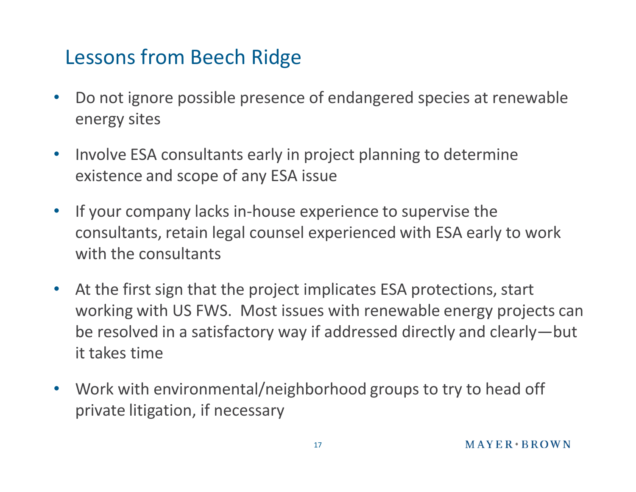### Lessons from Beech Ridge

- Do not ignore possible presence of endangered species at renewable energy sites
- Involve ESA consultants early in project planning to determine existence and scope of any ESA issue
- If your company lacks in-house experience to supervise the consultants, retain legal counsel experienced with ESA early to work with the consultants
- At the first sign that the project implicates ESA protections, start working with US FWS. Most issues with renewable energy projects can be resolved in a satisfactory way if addressed directly and clearly—but it takes time
- Work with environmental/neighborhood groups to try to head off private litigation, if necessary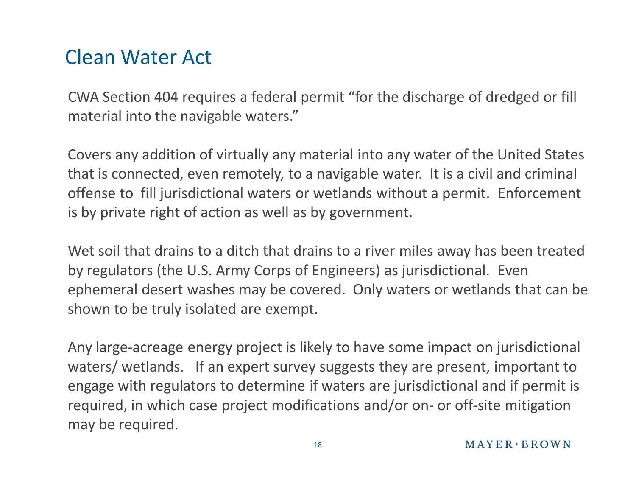### Clean Water Act

CWA Section 404 requires a federal permit "for the discharge of dredged or fill material into the navigable waters."

Covers any addition of virtually any material into any water of the United States that is connected, even remotely, to a navigable water. It is a civil and criminal offense to fill jurisdictional waters or wetlands without a permit. Enforcement is by private right of action as well as by government.

Wet soil that drains to a ditch that drains to a river miles away has been treated by regulators (the U.S. Army Corps of Engineers) as jurisdictional. Even ephemeral desert washes may be covered. Only waters or wetlands that can be shown to be truly isolated are exempt.

Any large-acreage energy project is likely to have some impact on jurisdictional waters/ wetlands. If an expert survey suggests they are present, important to engage with regulators to determine if waters are jurisdictional and if permit is required, in which case project modifications and/or on- or off-site mitigation may be required.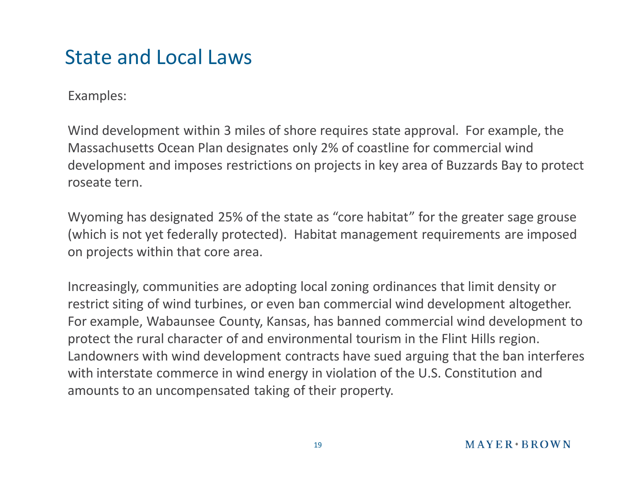### State and Local Laws

#### Examples:

Wind development within 3 miles of shore requires state approval. For example, the Massachusetts Ocean Plan designates only 2% of coastline for commercial wind development and imposes restrictions on projects in key area of Buzzards Bay to protect roseate tern.

Wyoming has designated 25% of the state as "core habitat" for the greater sage grouse (which is not yet federally protected). Habitat management requirements are imposed on projects within that core area.

Increasingly, communities are adopting local zoning ordinances that limit density or restrict siting of wind turbines, or even ban commercial wind development altogether. For example, Wabaunsee County, Kansas, has banned commercial wind development to protect the rural character of and environmental tourism in the Flint Hills region. Landowners with wind development contracts have sued arguing that the ban interferes with interstate commerce in wind energy in violation of the U.S. Constitution and amounts to an uncompensated taking of their property.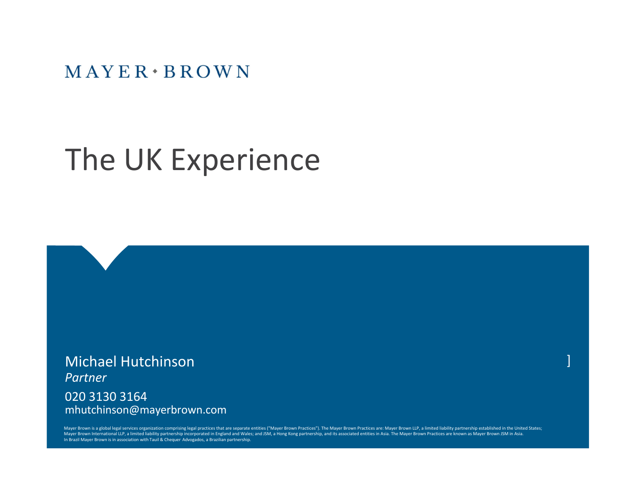$MAYER \cdot BROWN$ 

## The UK Experience

Michael Hutchinson *Partner* 020 3130 3164

mhutchinson@mayerbrown.com

Mayer Brown is a global legal services organization comprising legal practices that are separate entities ("Mayer Brown Practices"). The Mayer Brown Practices are: Mayer Brown LLP, a limited liability partnership establish Mayer Brown International LLP, a limited liability partnership incorporated in England and Wales; and JSM, a Hong Kong partnership, and its associated entities in Asia. The Mayer Brown Practices are known as Mayer Brown JS In Brazil Mayer Brown is in association with Tauil & Chequer Advogados, a Brazilian partnership.

]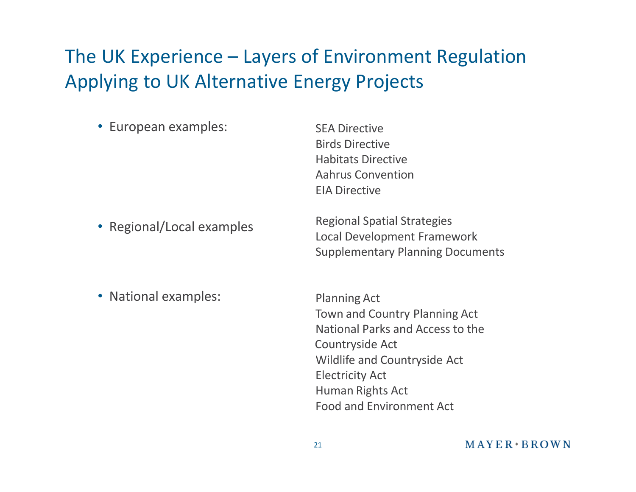### The UK Experience – Layers of Environment Regulation Applying to UK Alternative Energy Projects

| • European examples:      | <b>SEA Directive</b><br><b>Birds Directive</b><br><b>Habitats Directive</b><br><b>Aahrus Convention</b><br><b>EIA Directive</b> |
|---------------------------|---------------------------------------------------------------------------------------------------------------------------------|
| • Regional/Local examples | <b>Regional Spatial Strategies</b><br><b>Local Development Framework</b><br><b>Supplementary Planning Documents</b>             |

• National examples:

Planning Act Town and Country Planning Act National Parks and Access to the Countryside Act Wildlife and Countryside Act Electricity Act Human Rights Act Food and Environment Act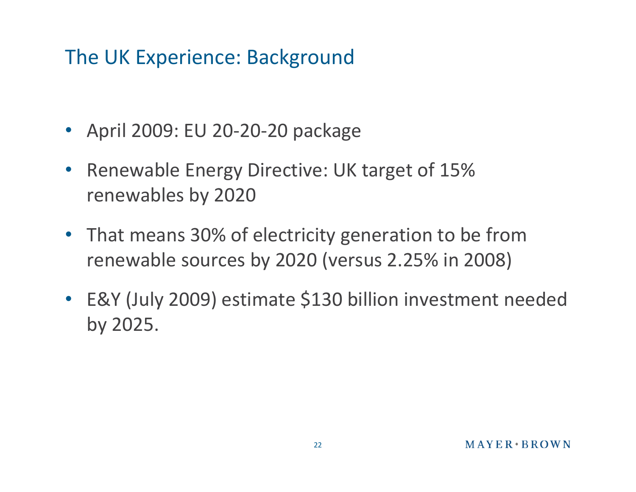### The UK Experience: Background

- April 2009: EU 20-20-20 package
- Renewable Energy Directive: UK target of 15% renewables by 2020
- That means 30% of electricity generation to be from renewable sources by 2020 (versus 2.25% in 2008)
- E&Y (July 2009) estimate \$130 billion investment needed by 2025.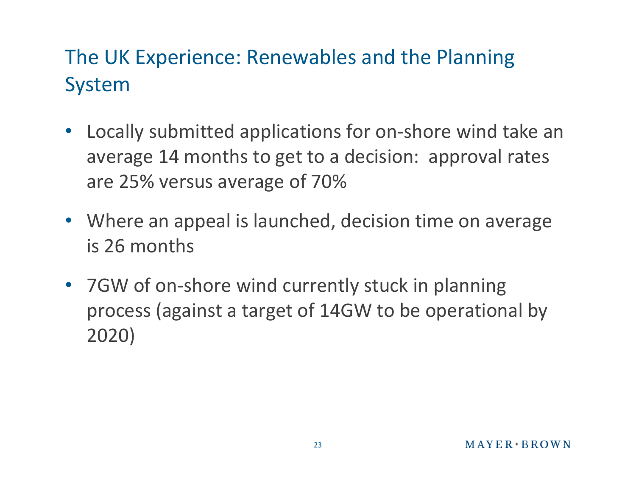### The UK Experience: Renewables and the Planning System

- Locally submitted applications for on-shore wind take an average 14 months to get to a decision: approval rates are 25% versus average of 70%
- Where an appeal is launched, decision time on average is 26 months
- 7GW of on-shore wind currently stuck in planning process (against a target of 14GW to be operational by 2020)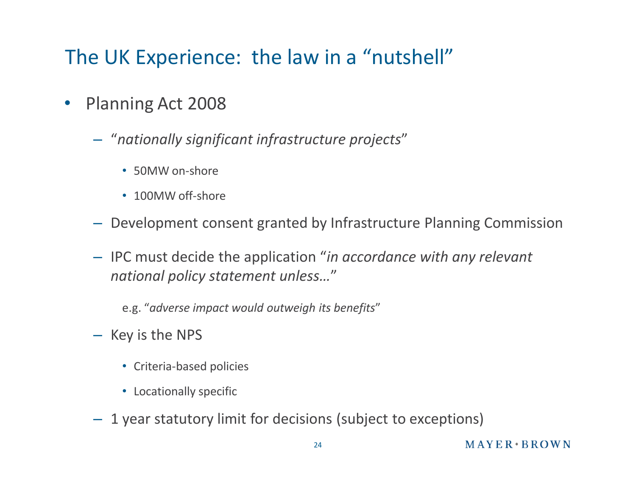### The UK Experience: the law in a "nutshell"

- Planning Act 2008
	- "*nationally significant infrastructure projects*"
		- 50MW on-shore
		- 100MW off-shore
	- Development consent granted by Infrastructure Planning Commission
	- IPC must decide the application "*in accordance with any relevant national policy statement unless…*"

e.g. "*adverse impact would outweigh its benefits*"

- Key is the NPS
	- Criteria-based policies
	- Locationally specific
- 1 year statutory limit for decisions (subject to exceptions)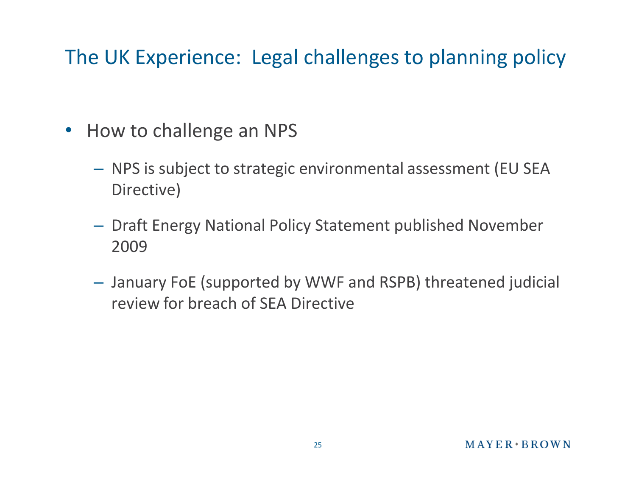### The UK Experience: Legal challenges to planning policy

- How to challenge an NPS
	- NPS is subject to strategic environmental assessment (EU SEA Directive)
	- Draft Energy National Policy Statement published November 2009
	- January FoE (supported by WWF and RSPB) threatened judicial review for breach of SEA Directive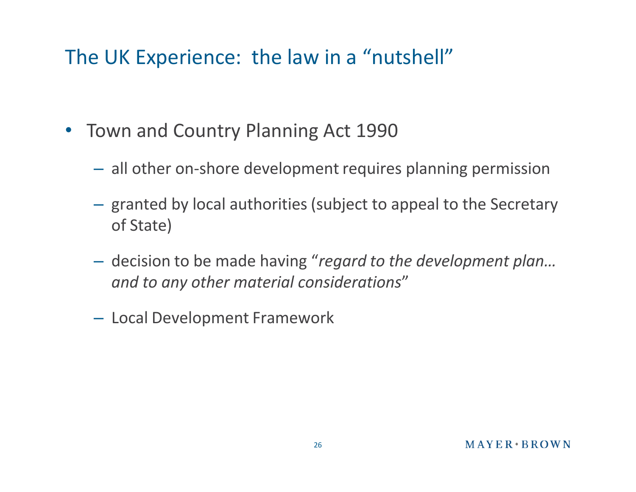### The UK Experience: the law in a "nutshell"

- Town and Country Planning Act 1990
	- all other on-shore development requires planning permission
	- granted by local authorities (subject to appeal to the Secretary of State)
	- decision to be made having "*regard to the development plan… and to any other material considerations*"
	- Local Development Framework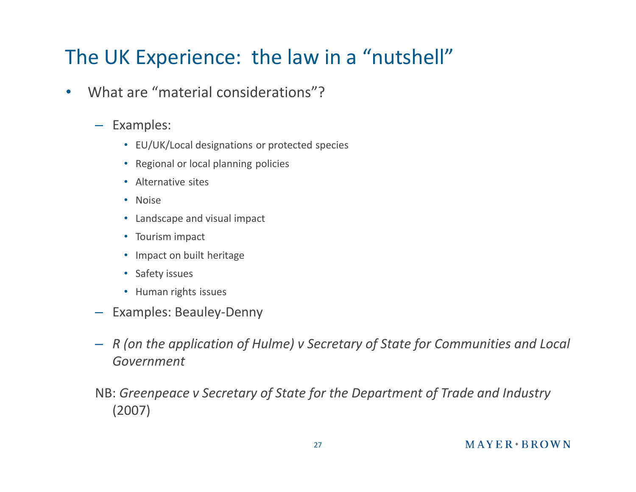### The UK Experience: the law in a "nutshell"

- What are "material considerations"?
	- Examples:
		- EU/UK/Local designations or protected species
		- Regional or local planning policies
		- Alternative sites
		- Noise
		- Landscape and visual impact
		- Tourism impact
		- Impact on built heritage
		- Safety issues
		- Human rights issues
	- Examples: Beauley-Denny
	- *R (on the application of Hulme) v Secretary of State for Communities and Local Government*
	- NB: *Greenpeace v Secretary of State for the Department of Trade and Industry*  (2007)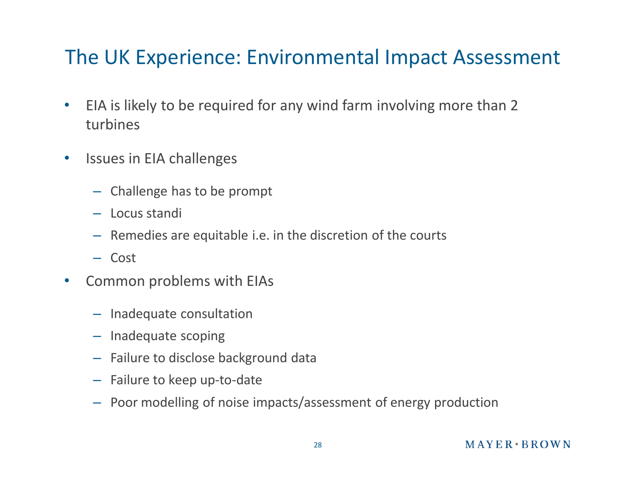### The UK Experience: Environmental Impact Assessment

- EIA is likely to be required for any wind farm involving more than 2 turbines
- Issues in EIA challenges
	- Challenge has to be prompt
	- Locus standi
	- Remedies are equitable i.e. in the discretion of the courts
	- Cost
- Common problems with EIAs
	- Inadequate consultation
	- Inadequate scoping
	- Failure to disclose background data
	- Failure to keep up-to-date
	- Poor modelling of noise impacts/assessment of energy production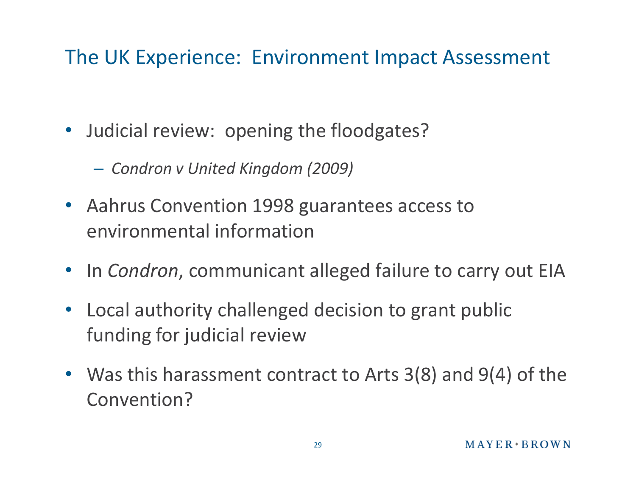### The UK Experience: Environment Impact Assessment

- Judicial review: opening the floodgates?
	- *Condron v United Kingdom (2009)*
- Aahrus Convention 1998 guarantees access to environmental information
- In *Condron*, communicant alleged failure to carry out EIA
- Local authority challenged decision to grant public funding for judicial review
- Was this harassment contract to Arts 3(8) and 9(4) of the Convention?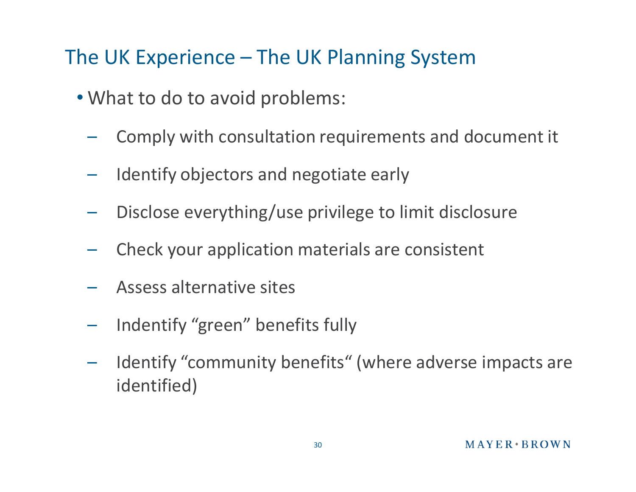### The UK Experience – The UK Planning System

- What to do to avoid problems:
	- Comply with consultation requirements and document it
	- Identify objectors and negotiate early
	- Disclose everything/use privilege to limit disclosure
	- Check your application materials are consistent
	- Assess alternative sites
	- Indentify "green" benefits fully
	- Identify "community benefits" (where adverse impacts are identified)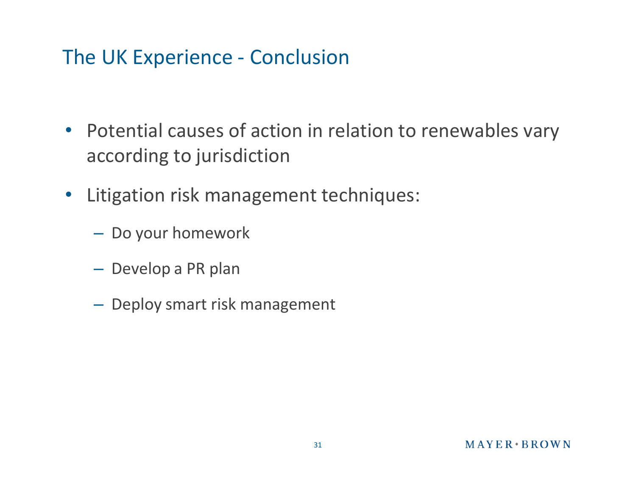### The UK Experience - Conclusion

- Potential causes of action in relation to renewables vary according to jurisdiction
- Litigation risk management techniques:
	- Do your homework
	- Develop a PR plan
	- Deploy smart risk management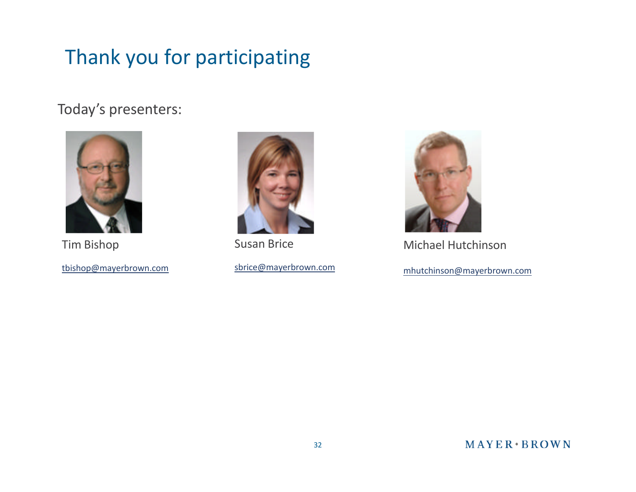### Thank you for participating

#### Today's presenters:



Tim Bishop

tbishop@mayerbrown.com



Susan Brice

sbrice@mayerbrown.com



Michael Hutchinson

mhutchinson@mayerbrown.com